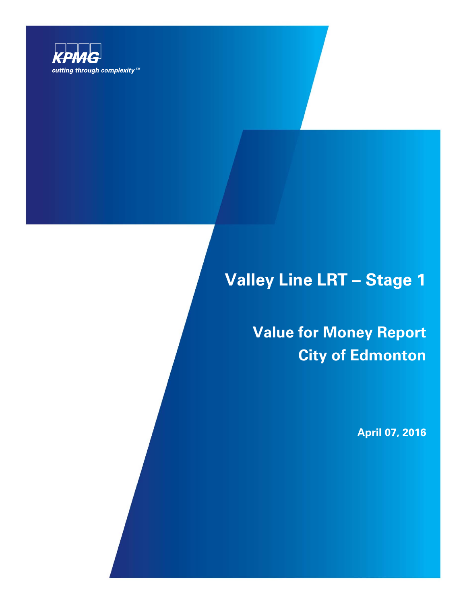

# **Valley Line LRT – Stage 1**

**Value for Money Report City of Edmonton**

**April 07, 2016**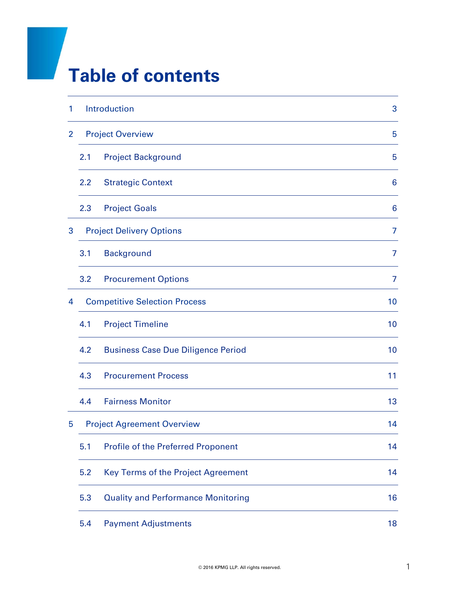# **Table of contents**

| 1              |                                      | Introduction                              | 3               |
|----------------|--------------------------------------|-------------------------------------------|-----------------|
| $\overline{2}$ |                                      | <b>Project Overview</b>                   | 5               |
|                | 2.1                                  | <b>Project Background</b>                 | 5               |
|                | 2.2                                  | <b>Strategic Context</b>                  | $6\phantom{1}6$ |
|                | 2.3                                  | <b>Project Goals</b>                      | 6               |
| 3              |                                      | <b>Project Delivery Options</b>           | 7               |
|                | 3.1                                  | <b>Background</b>                         | 7               |
|                | 3.2                                  | <b>Procurement Options</b>                | 7               |
| 4              | <b>Competitive Selection Process</b> |                                           | 10              |
|                | 4.1                                  | <b>Project Timeline</b>                   | 10              |
|                | 4.2                                  | <b>Business Case Due Diligence Period</b> | 10              |
|                | 4.3                                  | <b>Procurement Process</b>                | 11              |
|                | 4.4                                  | <b>Fairness Monitor</b>                   | 13              |
| 5              |                                      | <b>Project Agreement Overview</b>         | 14              |
|                | 5.1                                  | <b>Profile of the Preferred Proponent</b> | 14              |
|                | 5.2                                  | Key Terms of the Project Agreement        | 14              |
|                | 5.3                                  | <b>Quality and Performance Monitoring</b> | 16              |
|                | 5.4                                  | <b>Payment Adjustments</b>                | 18              |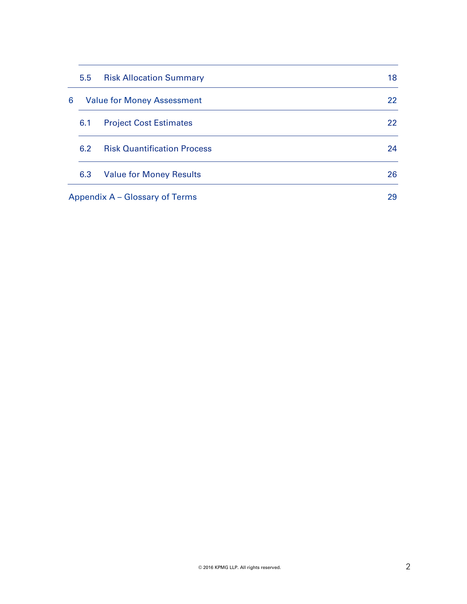|   | 5.5 | <b>Risk Allocation Summary</b>     | 18 |
|---|-----|------------------------------------|----|
| 6 |     | <b>Value for Money Assessment</b>  | 22 |
|   | 6.1 | <b>Project Cost Estimates</b>      | 22 |
|   | 6.2 | <b>Risk Quantification Process</b> | 24 |
|   | 6.3 | <b>Value for Money Results</b>     | 26 |
|   |     | Appendix A – Glossary of Terms     | 29 |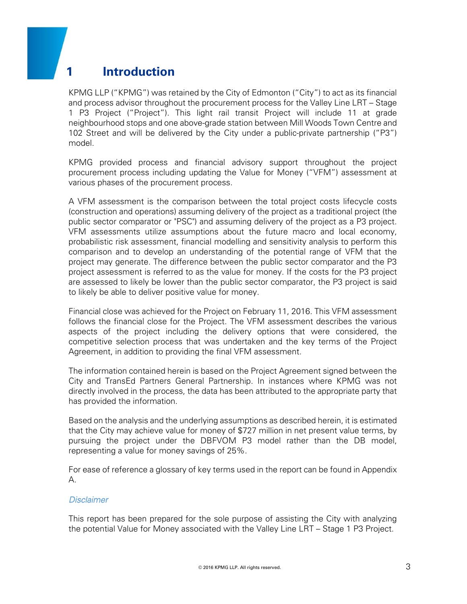# **1 Introduction**

KPMG LLP ("KPMG") was retained by the City of Edmonton ("City") to act as its financial and process advisor throughout the procurement process for the Valley Line LRT – Stage 1 P3 Project ("Project"). This light rail transit Project will include 11 at grade neighbourhood stops and one above-grade station between Mill Woods Town Centre and 102 Street and will be delivered by the City under a public-private partnership ("P3") model.

KPMG provided process and financial advisory support throughout the project procurement process including updating the Value for Money ("VFM") assessment at various phases of the procurement process.

A VFM assessment is the comparison between the total project costs lifecycle costs (construction and operations) assuming delivery of the project as a traditional project (the public sector comparator or "PSC") and assuming delivery of the project as a P3 project. VFM assessments utilize assumptions about the future macro and local economy, probabilistic risk assessment, financial modelling and sensitivity analysis to perform this comparison and to develop an understanding of the potential range of VFM that the project may generate. The difference between the public sector comparator and the P3 project assessment is referred to as the value for money. If the costs for the P3 project are assessed to likely be lower than the public sector comparator, the P3 project is said to likely be able to deliver positive value for money.

Financial close was achieved for the Project on February 11, 2016. This VFM assessment follows the financial close for the Project. The VFM assessment describes the various aspects of the project including the delivery options that were considered, the competitive selection process that was undertaken and the key terms of the Project Agreement, in addition to providing the final VFM assessment.

The information contained herein is based on the Project Agreement signed between the City and TransEd Partners General Partnership. In instances where KPMG was not directly involved in the process, the data has been attributed to the appropriate party that has provided the information.

Based on the analysis and the underlying assumptions as described herein, it is estimated that the City may achieve value for money of \$727 million in net present value terms, by pursuing the project under the DBFVOM P3 model rather than the DB model, representing a value for money savings of 25%.

For ease of reference a glossary of key terms used in the report can be found in Appendix A.

#### *Disclaimer*

This report has been prepared for the sole purpose of assisting the City with analyzing the potential Value for Money associated with the Valley Line LRT – Stage 1 P3 Project.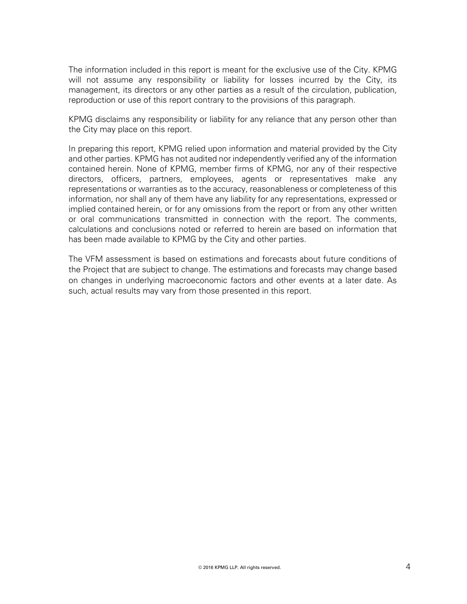The information included in this report is meant for the exclusive use of the City. KPMG will not assume any responsibility or liability for losses incurred by the City, its management, its directors or any other parties as a result of the circulation, publication, reproduction or use of this report contrary to the provisions of this paragraph.

KPMG disclaims any responsibility or liability for any reliance that any person other than the City may place on this report.

In preparing this report, KPMG relied upon information and material provided by the City and other parties. KPMG has not audited nor independently verified any of the information contained herein. None of KPMG, member firms of KPMG, nor any of their respective directors, officers, partners, employees, agents or representatives make any representations or warranties as to the accuracy, reasonableness or completeness of this information, nor shall any of them have any liability for any representations, expressed or implied contained herein, or for any omissions from the report or from any other written or oral communications transmitted in connection with the report. The comments, calculations and conclusions noted or referred to herein are based on information that has been made available to KPMG by the City and other parties.

The VFM assessment is based on estimations and forecasts about future conditions of the Project that are subject to change. The estimations and forecasts may change based on changes in underlying macroeconomic factors and other events at a later date. As such, actual results may vary from those presented in this report.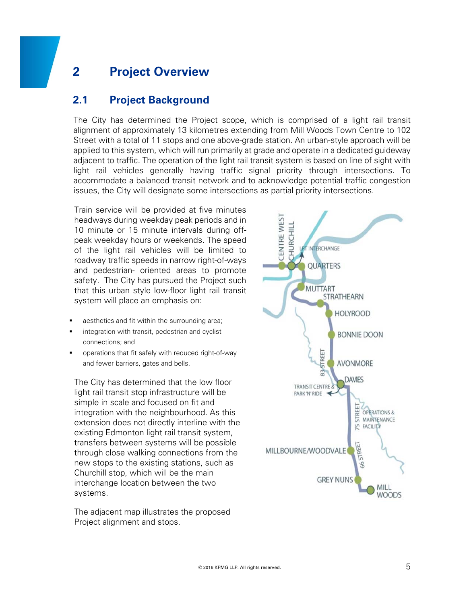# **2 Project Overview**

#### **2.1 Project Background**

The City has determined the Project scope, which is comprised of a light rail transit alignment of approximately 13 kilometres extending from Mill Woods Town Centre to 102 Street with a total of 11 stops and one above-grade station. An urban-style approach will be applied to this system, which will run primarily at grade and operate in a dedicated guideway adjacent to traffic. The operation of the light rail transit system is based on line of sight with light rail vehicles generally having traffic signal priority through intersections. To accommodate a balanced transit network and to acknowledge potential traffic congestion issues, the City will designate some intersections as partial priority intersections.

Train service will be provided at five minutes headways during weekday peak periods and in 10 minute or 15 minute intervals during offpeak weekday hours or weekends. The speed of the light rail vehicles will be limited to roadway traffic speeds in narrow right-of-ways and pedestrian- oriented areas to promote safety. The City has pursued the Project such that this urban style low-floor light rail transit system will place an emphasis on:

- aesthetics and fit within the surrounding area;
- integration with transit, pedestrian and cyclist connections; and
- operations that fit safely with reduced right-of-way and fewer barriers, gates and bells.

The City has determined that the low floor light rail transit stop infrastructure will be simple in scale and focused on fit and integration with the neighbourhood. As this extension does not directly interline with the existing Edmonton light rail transit system, transfers between systems will be possible through close walking connections from the new stops to the existing stations, such as Churchill stop, which will be the main interchange location between the two systems.

The adjacent map illustrates the proposed Project alignment and stops.

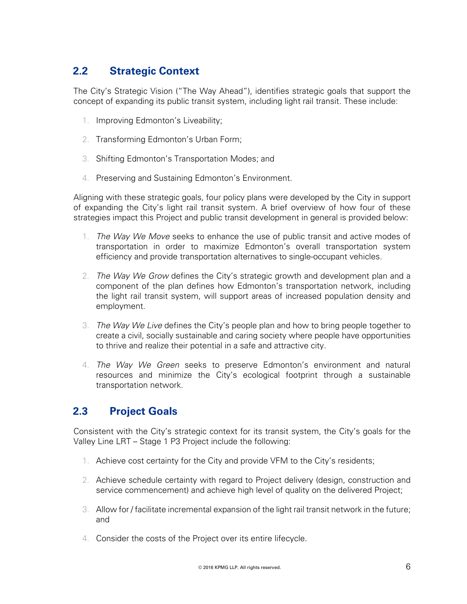# **2.2 Strategic Context**

The City's Strategic Vision ("The Way Ahead"), identifies strategic goals that support the concept of expanding its public transit system, including light rail transit. These include:

- 1. Improving Edmonton's Liveability;
- 2. Transforming Edmonton's Urban Form;
- 3. Shifting Edmonton's Transportation Modes; and
- 4. Preserving and Sustaining Edmonton's Environment.

Aligning with these strategic goals, four policy plans were developed by the City in support of expanding the City's light rail transit system. A brief overview of how four of these strategies impact this Project and public transit development in general is provided below:

- 1. *The Way We Move* seeks to enhance the use of public transit and active modes of transportation in order to maximize Edmonton's overall transportation system efficiency and provide transportation alternatives to single-occupant vehicles.
- 2. *The Way We Grow* defines the City's strategic growth and development plan and a component of the plan defines how Edmonton's transportation network, including the light rail transit system, will support areas of increased population density and employment.
- 3. *The Way We Live* defines the City's people plan and how to bring people together to create a civil, socially sustainable and caring society where people have opportunities to thrive and realize their potential in a safe and attractive city.
- 4. *The Way We Green* seeks to preserve Edmonton's environment and natural resources and minimize the City's ecological footprint through a sustainable transportation network.

### **2.3 Project Goals**

Consistent with the City's strategic context for its transit system, the City's goals for the Valley Line LRT – Stage 1 P3 Project include the following:

- 1. Achieve cost certainty for the City and provide VFM to the City's residents;
- 2. Achieve schedule certainty with regard to Project delivery (design, construction and service commencement) and achieve high level of quality on the delivered Project;
- 3. Allow for / facilitate incremental expansion of the light rail transit network in the future; and
- 4. Consider the costs of the Project over its entire lifecycle.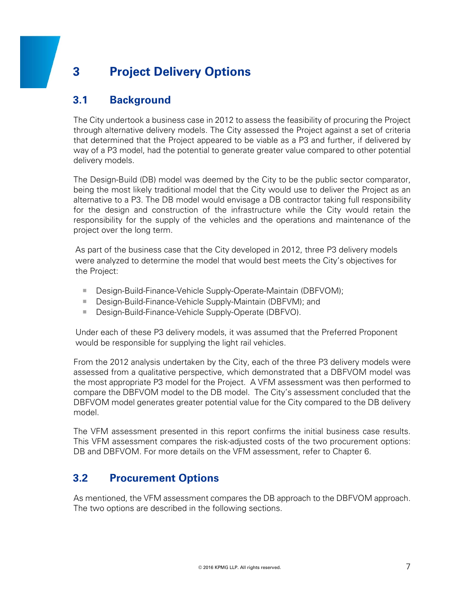# **3 Project Delivery Options**

# **3.1 Background**

The City undertook a business case in 2012 to assess the feasibility of procuring the Project through alternative delivery models. The City assessed the Project against a set of criteria that determined that the Project appeared to be viable as a P3 and further, if delivered by way of a P3 model, had the potential to generate greater value compared to other potential delivery models.

The Design-Build (DB) model was deemed by the City to be the public sector comparator, being the most likely traditional model that the City would use to deliver the Project as an alternative to a P3. The DB model would envisage a DB contractor taking full responsibility for the design and construction of the infrastructure while the City would retain the responsibility for the supply of the vehicles and the operations and maintenance of the project over the long term.

As part of the business case that the City developed in 2012, three P3 delivery models were analyzed to determine the model that would best meets the City's objectives for the Project:

- Design-Build-Finance-Vehicle Supply-Operate-Maintain (DBFVOM);
- Design-Build-Finance-Vehicle Supply-Maintain (DBFVM); and
- Design-Build-Finance-Vehicle Supply-Operate (DBFVO).

Under each of these P3 delivery models, it was assumed that the Preferred Proponent would be responsible for supplying the light rail vehicles.

From the 2012 analysis undertaken by the City, each of the three P3 delivery models were assessed from a qualitative perspective, which demonstrated that a DBFVOM model was the most appropriate P3 model for the Project. A VFM assessment was then performed to compare the DBFVOM model to the DB model. The City's assessment concluded that the DBFVOM model generates greater potential value for the City compared to the DB delivery model.

The VFM assessment presented in this report confirms the initial business case results. This VFM assessment compares the risk-adjusted costs of the two procurement options: DB and DBFVOM. For more details on the VFM assessment, refer to Chapter 6.

# **3.2 Procurement Options**

As mentioned, the VFM assessment compares the DB approach to the DBFVOM approach. The two options are described in the following sections.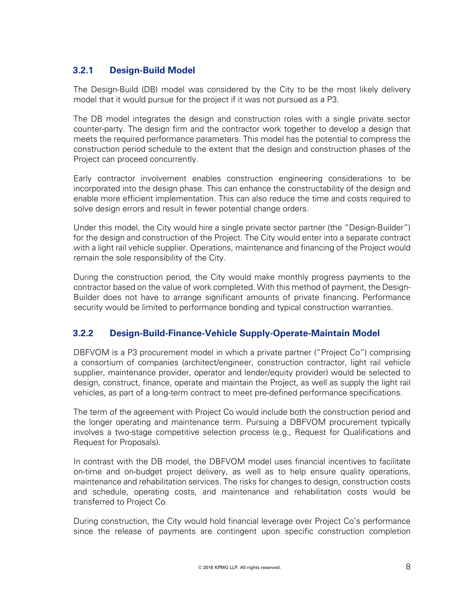#### **3.2.1 Design-Build Model**

The Design-Build (DB) model was considered by the City to be the most likely delivery model that it would pursue for the project if it was not pursued as a P3.

The DB model integrates the design and construction roles with a single private sector counter-party. The design firm and the contractor work together to develop a design that meets the required performance parameters. This model has the potential to compress the construction period schedule to the extent that the design and construction phases of the Project can proceed concurrently.

Early contractor involvement enables construction engineering considerations to be incorporated into the design phase. This can enhance the constructability of the design and enable more efficient implementation. This can also reduce the time and costs required to solve design errors and result in fewer potential change orders.

Under this model, the City would hire a single private sector partner (the "Design-Builder") for the design and construction of the Project. The City would enter into a separate contract with a light rail vehicle supplier. Operations, maintenance and financing of the Project would remain the sole responsibility of the City.

During the construction period, the City would make monthly progress payments to the contractor based on the value of work completed. With this method of payment, the Design-Builder does not have to arrange significant amounts of private financing. Performance security would be limited to performance bonding and typical construction warranties.

#### **3.2.2 Design-Build-Finance-Vehicle Supply-Operate-Maintain Model**

DBFVOM is a P3 procurement model in which a private partner ("Project Co") comprising a consortium of companies (architect/engineer, construction contractor, light rail vehicle supplier, maintenance provider, operator and lender/equity provider) would be selected to design, construct, finance, operate and maintain the Project, as well as supply the light rail vehicles, as part of a long-term contract to meet pre-defined performance specifications.

The term of the agreement with Project Co would include both the construction period and the longer operating and maintenance term. Pursuing a DBFVOM procurement typically involves a two-stage competitive selection process (e.g., Request for Qualifications and Request for Proposals).

In contrast with the DB model, the DBFVOM model uses financial incentives to facilitate on-time and on-budget project delivery, as well as to help ensure quality operations, maintenance and rehabilitation services. The risks for changes to design, construction costs and schedule, operating costs, and maintenance and rehabilitation costs would be transferred to Project Co.

During construction, the City would hold financial leverage over Project Co's performance since the release of payments are contingent upon specific construction completion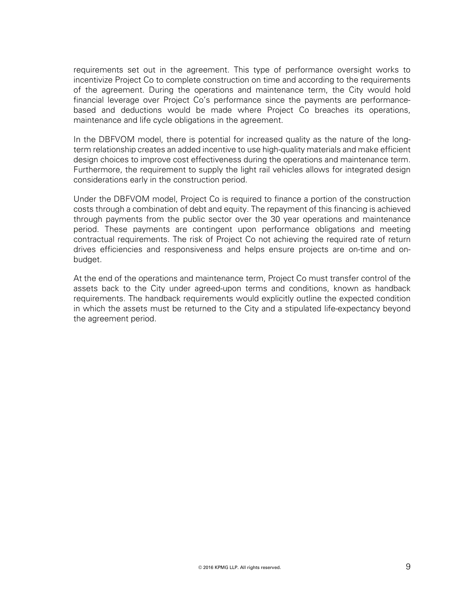requirements set out in the agreement. This type of performance oversight works to incentivize Project Co to complete construction on time and according to the requirements of the agreement. During the operations and maintenance term, the City would hold financial leverage over Project Co's performance since the payments are performancebased and deductions would be made where Project Co breaches its operations, maintenance and life cycle obligations in the agreement.

In the DBFVOM model, there is potential for increased quality as the nature of the longterm relationship creates an added incentive to use high-quality materials and make efficient design choices to improve cost effectiveness during the operations and maintenance term. Furthermore, the requirement to supply the light rail vehicles allows for integrated design considerations early in the construction period.

Under the DBFVOM model, Project Co is required to finance a portion of the construction costs through a combination of debt and equity. The repayment of this financing is achieved through payments from the public sector over the 30 year operations and maintenance period. These payments are contingent upon performance obligations and meeting contractual requirements. The risk of Project Co not achieving the required rate of return drives efficiencies and responsiveness and helps ensure projects are on-time and onbudget.

At the end of the operations and maintenance term, Project Co must transfer control of the assets back to the City under agreed-upon terms and conditions, known as handback requirements. The handback requirements would explicitly outline the expected condition in which the assets must be returned to the City and a stipulated life-expectancy beyond the agreement period.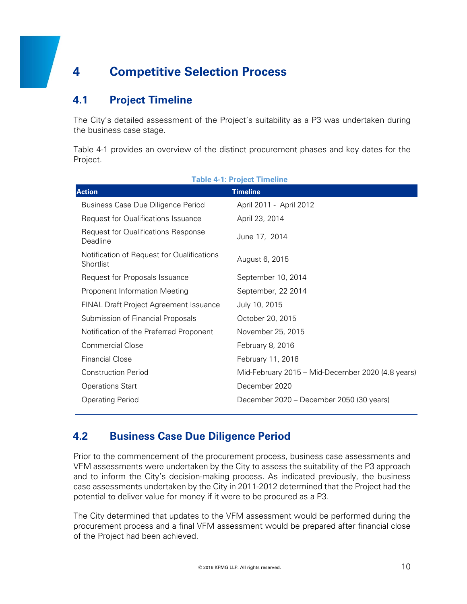# **4 Competitive Selection Process**

# **4.1 Project Timeline**

The City's detailed assessment of the Project's suitability as a P3 was undertaken during the business case stage.

Table 4-1 provides an overview of the distinct procurement phases and key dates for the Project.

| <b>Action</b>                                           | <b>Timeline</b>                                   |
|---------------------------------------------------------|---------------------------------------------------|
| Business Case Due Diligence Period                      | April 2011 - April 2012                           |
| <b>Request for Qualifications Issuance</b>              | April 23, 2014                                    |
| <b>Request for Qualifications Response</b><br>Deadline  | June 17, 2014                                     |
| Notification of Request for Qualifications<br>Shortlist | August 6, 2015                                    |
| Request for Proposals Issuance                          | September 10, 2014                                |
| Proponent Information Meeting                           | September, 22 2014                                |
| FINAL Draft Project Agreement Issuance                  | July 10, 2015                                     |
| Submission of Financial Proposals                       | October 20, 2015                                  |
| Notification of the Preferred Proponent                 | November 25, 2015                                 |
| <b>Commercial Close</b>                                 | February 8, 2016                                  |
| <b>Financial Close</b>                                  | February 11, 2016                                 |
| <b>Construction Period</b>                              | Mid-February 2015 - Mid-December 2020 (4.8 years) |
| <b>Operations Start</b>                                 | December 2020                                     |
| <b>Operating Period</b>                                 | December 2020 – December 2050 (30 years)          |

#### **Table 4-1: Project Timeline**

### **4.2 Business Case Due Diligence Period**

Prior to the commencement of the procurement process, business case assessments and VFM assessments were undertaken by the City to assess the suitability of the P3 approach and to inform the City's decision-making process. As indicated previously, the business case assessments undertaken by the City in 2011-2012 determined that the Project had the potential to deliver value for money if it were to be procured as a P3.

The City determined that updates to the VFM assessment would be performed during the procurement process and a final VFM assessment would be prepared after financial close of the Project had been achieved.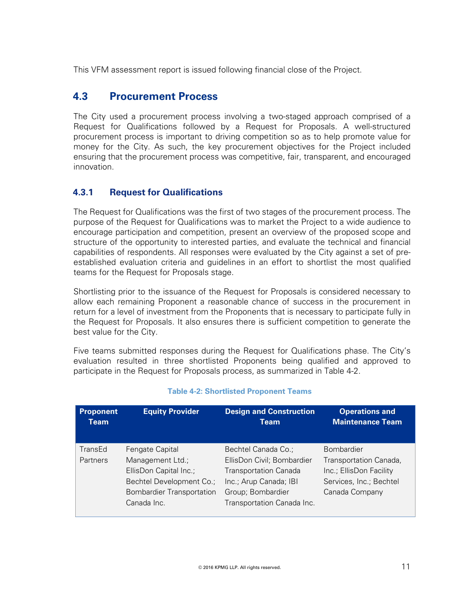This VFM assessment report is issued following financial close of the Project.

### **4.3 Procurement Process**

The City used a procurement process involving a two-staged approach comprised of a Request for Qualifications followed by a Request for Proposals. A well-structured procurement process is important to driving competition so as to help promote value for money for the City. As such, the key procurement objectives for the Project included ensuring that the procurement process was competitive, fair, transparent, and encouraged innovation.

#### **4.3.1 Request for Qualifications**

The Request for Qualifications was the first of two stages of the procurement process. The purpose of the Request for Qualifications was to market the Project to a wide audience to encourage participation and competition, present an overview of the proposed scope and structure of the opportunity to interested parties, and evaluate the technical and financial capabilities of respondents. All responses were evaluated by the City against a set of preestablished evaluation criteria and guidelines in an effort to shortlist the most qualified teams for the Request for Proposals stage.

Shortlisting prior to the issuance of the Request for Proposals is considered necessary to allow each remaining Proponent a reasonable chance of success in the procurement in return for a level of investment from the Proponents that is necessary to participate fully in the Request for Proposals. It also ensures there is sufficient competition to generate the best value for the City.

Five teams submitted responses during the Request for Qualifications phase. The City's evaluation resulted in three shortlisted Proponents being qualified and approved to participate in the Request for Proposals process, as summarized in Table 4-2.

| <b>Proponent</b>           | <b>Equity Provider</b>                                                                                                                       | <b>Design and Construction</b>                                                                                                                                 | <b>Operations and</b>                                                                                               |
|----------------------------|----------------------------------------------------------------------------------------------------------------------------------------------|----------------------------------------------------------------------------------------------------------------------------------------------------------------|---------------------------------------------------------------------------------------------------------------------|
| Team                       |                                                                                                                                              | <b>Team</b>                                                                                                                                                    | <b>Maintenance Team</b>                                                                                             |
| TransEd<br><b>Partners</b> | Fengate Capital<br>Management Ltd.;<br>EllisDon Capital Inc.;<br>Bechtel Development Co.;<br><b>Bombardier Transportation</b><br>Canada Inc. | Bechtel Canada Co.;<br>EllisDon Civil; Bombardier<br><b>Transportation Canada</b><br>Inc.; Arup Canada; IBI<br>Group; Bombardier<br>Transportation Canada Inc. | <b>Bombardier</b><br>Transportation Canada,<br>Inc.; EllisDon Facility<br>Services, Inc.; Bechtel<br>Canada Company |

#### **Table 4-2: Shortlisted Proponent Teams**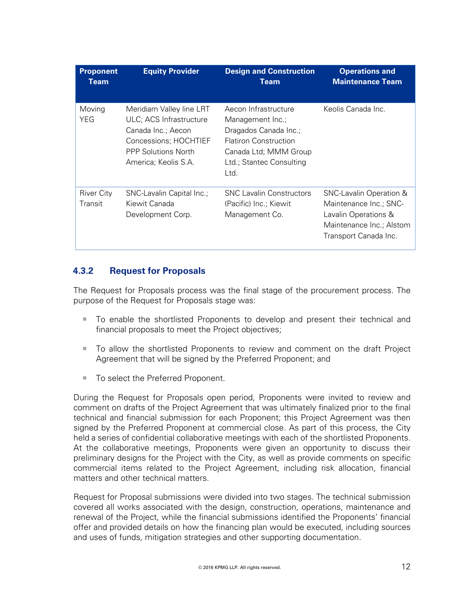| <b>Proponent</b><br>Team     | <b>Equity Provider</b>                                                                                                                                   | <b>Design and Construction</b><br>Team                                                                                                                         | <b>Operations and</b><br><b>Maintenance Team</b>                                                                                          |
|------------------------------|----------------------------------------------------------------------------------------------------------------------------------------------------------|----------------------------------------------------------------------------------------------------------------------------------------------------------------|-------------------------------------------------------------------------------------------------------------------------------------------|
| Moving<br>YEG                | Meridiam Valley line LRT<br>ULC; ACS Infrastructure<br>Canada Inc.; Aecon<br>Concessions; HOCHTIEF<br><b>PPP Solutions North</b><br>America; Keolis S.A. | Aecon Infrastructure<br>Management Inc.;<br>Dragados Canada Inc.;<br><b>Flatiron Construction</b><br>Canada Ltd; MMM Group<br>Ltd.; Stantec Consulting<br>Ltd. | Keolis Canada Inc.                                                                                                                        |
| <b>River City</b><br>Transit | SNC-Lavalin Capital Inc.;<br>Kiewit Canada<br>Development Corp.                                                                                          | <b>SNC Lavalin Constructors</b><br>(Pacific) Inc.; Kiewit<br>Management Co.                                                                                    | <b>SNC-Lavalin Operation &amp;</b><br>Maintenance Inc.; SNC-<br>Lavalin Operations &<br>Maintenance Inc.; Alstom<br>Transport Canada Inc. |

#### **4.3.2 Request for Proposals**

The Request for Proposals process was the final stage of the procurement process. The purpose of the Request for Proposals stage was:

- To enable the shortlisted Proponents to develop and present their technical and financial proposals to meet the Project objectives;
- To allow the shortlisted Proponents to review and comment on the draft Project Agreement that will be signed by the Preferred Proponent; and
- To select the Preferred Proponent.

During the Request for Proposals open period, Proponents were invited to review and comment on drafts of the Project Agreement that was ultimately finalized prior to the final technical and financial submission for each Proponent; this Project Agreement was then signed by the Preferred Proponent at commercial close. As part of this process, the City held a series of confidential collaborative meetings with each of the shortlisted Proponents. At the collaborative meetings, Proponents were given an opportunity to discuss their preliminary designs for the Project with the City, as well as provide comments on specific commercial items related to the Project Agreement, including risk allocation, financial matters and other technical matters.

Request for Proposal submissions were divided into two stages. The technical submission covered all works associated with the design, construction, operations, maintenance and renewal of the Project, while the financial submissions identified the Proponents' financial offer and provided details on how the financing plan would be executed, including sources and uses of funds, mitigation strategies and other supporting documentation.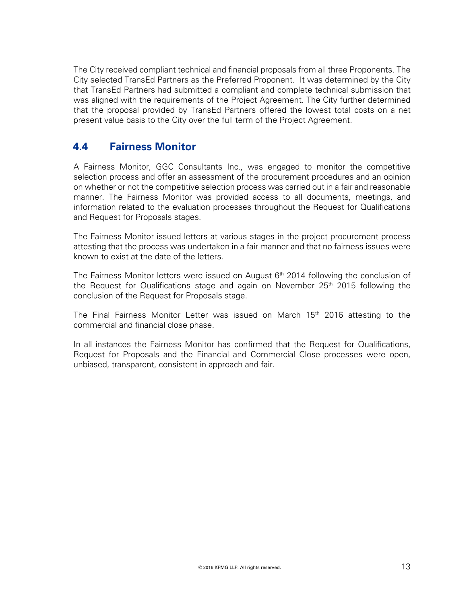The City received compliant technical and financial proposals from all three Proponents. The City selected TransEd Partners as the Preferred Proponent. It was determined by the City that TransEd Partners had submitted a compliant and complete technical submission that was aligned with the requirements of the Project Agreement. The City further determined that the proposal provided by TransEd Partners offered the lowest total costs on a net present value basis to the City over the full term of the Project Agreement.

### **4.4 Fairness Monitor**

A Fairness Monitor, GGC Consultants Inc., was engaged to monitor the competitive selection process and offer an assessment of the procurement procedures and an opinion on whether or not the competitive selection process was carried out in a fair and reasonable manner. The Fairness Monitor was provided access to all documents, meetings, and information related to the evaluation processes throughout the Request for Qualifications and Request for Proposals stages.

The Fairness Monitor issued letters at various stages in the project procurement process attesting that the process was undertaken in a fair manner and that no fairness issues were known to exist at the date of the letters.

The Fairness Monitor letters were issued on August  $6<sup>th</sup>$  2014 following the conclusion of the Request for Qualifications stage and again on November  $25<sup>th</sup>$  2015 following the conclusion of the Request for Proposals stage.

The Final Fairness Monitor Letter was issued on March  $15<sup>th</sup>$  2016 attesting to the commercial and financial close phase.

In all instances the Fairness Monitor has confirmed that the Request for Qualifications, Request for Proposals and the Financial and Commercial Close processes were open, unbiased, transparent, consistent in approach and fair.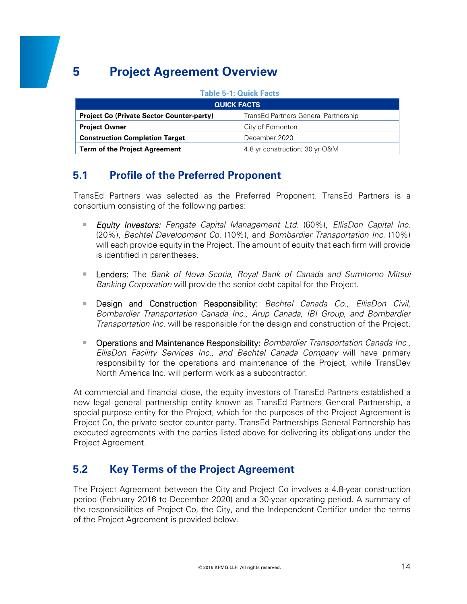# **5 Project Agreement Overview**

#### **Table 5-1: Quick Facts QUICK FACTS Project Co (Private Sector Counter-party) TransEd Partners General Partnership Project Owner City of Edmonton Construction Completion Target Manual Construction Completion Target Action Term of the Project Agreement** 4.8 yr construction; 30 yr O&M

# **5.1 Profile of the Preferred Proponent**

TransEd Partners was selected as the Preferred Proponent. TransEd Partners is a consortium consisting of the following parties:

- *Equity Investors: Fengate Capital Management Ltd.* (60%), *EllisDon Capital Inc.* (20%), *Bechtel Development Co.* (10%), and *Bombardier Transportation Inc.* (10%) will each provide equity in the Project. The amount of equity that each firm will provide is identified in parentheses.
- Lenders: The *Bank of Nova Scotia, Royal Bank of Canada and Sumitomo Mitsui Banking Corporation* will provide the senior debt capital for the Project.
- Design and Construction Responsibility: *Bechtel Canada Co., EllisDon Civil, Bombardier Transportation Canada Inc.*, *Arup Canada, IBI Group, and Bombardier Transportation Inc.* will be responsible for the design and construction of the Project.
- **Operations and Maintenance Responsibility:** *Bombardier Transportation Canada Inc., EllisDon Facility Services Inc., and Bechtel Canada Company* will have primary responsibility for the operations and maintenance of the Project, while TransDev North America Inc. will perform work as a subcontractor.

At commercial and financial close, the equity investors of TransEd Partners established a new legal general partnership entity known as TransEd Partners General Partnership, a special purpose entity for the Project, which for the purposes of the Project Agreement is Project Co, the private sector counter-party. TransEd Partnerships General Partnership has executed agreements with the parties listed above for delivering its obligations under the Project Agreement.

# **5.2 Key Terms of the Project Agreement**

The Project Agreement between the City and Project Co involves a 4.8-year construction period (February 2016 to December 2020) and a 30-year operating period. A summary of the responsibilities of Project Co, the City, and the Independent Certifier under the terms of the Project Agreement is provided below.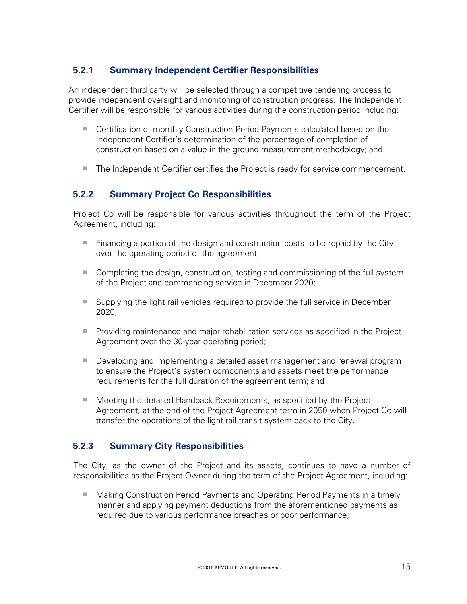#### **5.2.1 Summary Independent Certifier Responsibilities**

An independent third party will be selected through a competitive tendering process to provide independent oversight and monitoring of construction progress. The Independent Certifier will be responsible for various activities during the construction period including:

- Certification of monthly Construction Period Payments calculated based on the Independent Certifier's determination of the percentage of completion of construction based on a value in the ground measurement methodology; and
- The Independent Certifier certifies the Project is ready for service commencement.

#### **5.2.2 Summary Project Co Responsibilities**

Project Co will be responsible for various activities throughout the term of the Project Agreement, including:

- $\blacksquare$  Financing a portion of the design and construction costs to be repaid by the City over the operating period of the agreement;
- Completing the design, construction, testing and commissioning of the full system of the Project and commencing service in December 2020;
- Supplying the light rail vehicles required to provide the full service in December 2020;
- **Providing maintenance and major rehabilitation services as specified in the Project** Agreement over the 30-year operating period;
- Developing and implementing a detailed asset management and renewal program to ensure the Project's system components and assets meet the performance requirements for the full duration of the agreement term; and
- Meeting the detailed Handback Requirements, as specified by the Project Agreement, at the end of the Project Agreement term in 2050 when Project Co will transfer the operations of the light rail transit system back to the City.

#### **5.2.3 Summary City Responsibilities**

The City, as the owner of the Project and its assets, continues to have a number of responsibilities as the Project Owner during the term of the Project Agreement, including:

■ Making Construction Period Payments and Operating Period Payments in a timely manner and applying payment deductions from the aforementioned payments as required due to various performance breaches or poor performance;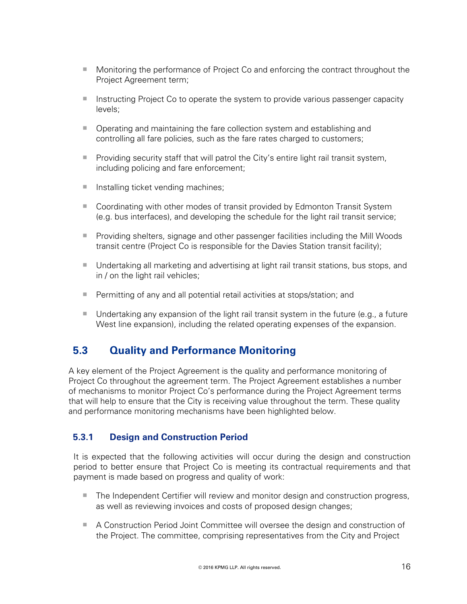- Monitoring the performance of Project Co and enforcing the contract throughout the Project Agreement term;
- **Instructing Project Co to operate the system to provide various passenger capacity** levels;
- Operating and maintaining the fare collection system and establishing and controlling all fare policies, such as the fare rates charged to customers;
- $\blacksquare$  Providing security staff that will patrol the City's entire light rail transit system, including policing and fare enforcement;
- $\blacksquare$  Installing ticket vending machines;
- Coordinating with other modes of transit provided by Edmonton Transit System (e.g. bus interfaces), and developing the schedule for the light rail transit service;
- **Providing shelters, signage and other passenger facilities including the Mill Woods** transit centre (Project Co is responsible for the Davies Station transit facility);
- Undertaking all marketing and advertising at light rail transit stations, bus stops, and in / on the light rail vehicles;
- Permitting of any and all potential retail activities at stops/station; and
- Undertaking any expansion of the light rail transit system in the future (e.g., a future West line expansion), including the related operating expenses of the expansion.

### **5.3 Quality and Performance Monitoring**

A key element of the Project Agreement is the quality and performance monitoring of Project Co throughout the agreement term. The Project Agreement establishes a number of mechanisms to monitor Project Co's performance during the Project Agreement terms that will help to ensure that the City is receiving value throughout the term. These quality and performance monitoring mechanisms have been highlighted below.

#### **5.3.1 Design and Construction Period**

It is expected that the following activities will occur during the design and construction period to better ensure that Project Co is meeting its contractual requirements and that payment is made based on progress and quality of work:

- The Independent Certifier will review and monitor design and construction progress, as well as reviewing invoices and costs of proposed design changes;
- A Construction Period Joint Committee will oversee the design and construction of the Project. The committee, comprising representatives from the City and Project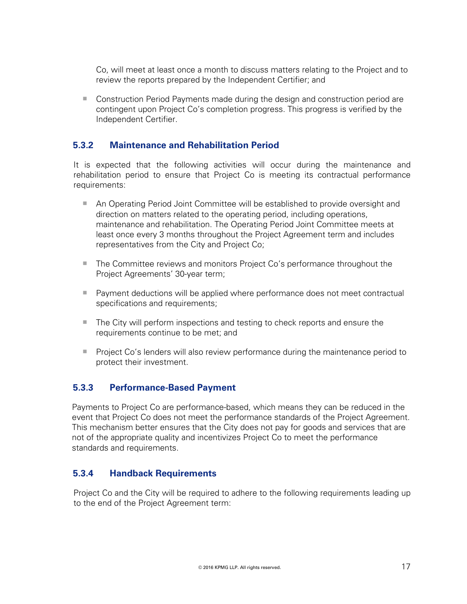Co, will meet at least once a month to discuss matters relating to the Project and to review the reports prepared by the Independent Certifier; and

■ Construction Period Payments made during the design and construction period are contingent upon Project Co's completion progress. This progress is verified by the Independent Certifier.

#### **5.3.2 Maintenance and Rehabilitation Period**

It is expected that the following activities will occur during the maintenance and rehabilitation period to ensure that Project Co is meeting its contractual performance requirements:

- An Operating Period Joint Committee will be established to provide oversight and direction on matters related to the operating period, including operations, maintenance and rehabilitation. The Operating Period Joint Committee meets at least once every 3 months throughout the Project Agreement term and includes representatives from the City and Project Co;
- The Committee reviews and monitors Project Co's performance throughout the Project Agreements' 30-year term;
- **Payment deductions will be applied where performance does not meet contractual** specifications and requirements;
- The City will perform inspections and testing to check reports and ensure the requirements continue to be met; and
- **Project Co's lenders will also review performance during the maintenance period to** protect their investment.

#### **5.3.3 Performance-Based Payment**

Payments to Project Co are performance-based, which means they can be reduced in the event that Project Co does not meet the performance standards of the Project Agreement. This mechanism better ensures that the City does not pay for goods and services that are not of the appropriate quality and incentivizes Project Co to meet the performance standards and requirements.

#### **5.3.4 Handback Requirements**

Project Co and the City will be required to adhere to the following requirements leading up to the end of the Project Agreement term: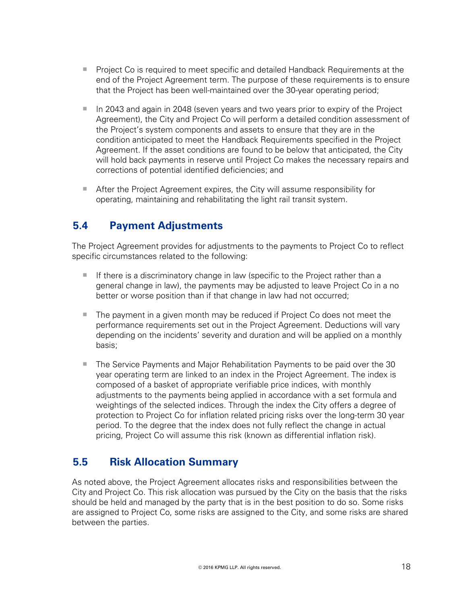- **Project Co is required to meet specific and detailed Handback Requirements at the** end of the Project Agreement term. The purpose of these requirements is to ensure that the Project has been well-maintained over the 30-year operating period;
- In 2043 and again in 2048 (seven years and two years prior to expiry of the Project Agreement), the City and Project Co will perform a detailed condition assessment of the Project's system components and assets to ensure that they are in the condition anticipated to meet the Handback Requirements specified in the Project Agreement. If the asset conditions are found to be below that anticipated, the City will hold back payments in reserve until Project Co makes the necessary repairs and corrections of potential identified deficiencies; and
- After the Project Agreement expires, the City will assume responsibility for operating, maintaining and rehabilitating the light rail transit system.

# **5.4 Payment Adjustments**

The Project Agreement provides for adjustments to the payments to Project Co to reflect specific circumstances related to the following:

- If there is a discriminatory change in law (specific to the Project rather than a general change in law), the payments may be adjusted to leave Project Co in a no better or worse position than if that change in law had not occurred;
- The payment in a given month may be reduced if Project Co does not meet the performance requirements set out in the Project Agreement. Deductions will vary depending on the incidents' severity and duration and will be applied on a monthly basis;
- The Service Payments and Major Rehabilitation Payments to be paid over the 30 year operating term are linked to an index in the Project Agreement. The index is composed of a basket of appropriate verifiable price indices, with monthly adjustments to the payments being applied in accordance with a set formula and weightings of the selected indices. Through the index the City offers a degree of protection to Project Co for inflation related pricing risks over the long-term 30 year period. To the degree that the index does not fully reflect the change in actual pricing, Project Co will assume this risk (known as differential inflation risk).

### **5.5 Risk Allocation Summary**

As noted above, the Project Agreement allocates risks and responsibilities between the City and Project Co. This risk allocation was pursued by the City on the basis that the risks should be held and managed by the party that is in the best position to do so. Some risks are assigned to Project Co, some risks are assigned to the City, and some risks are shared between the parties.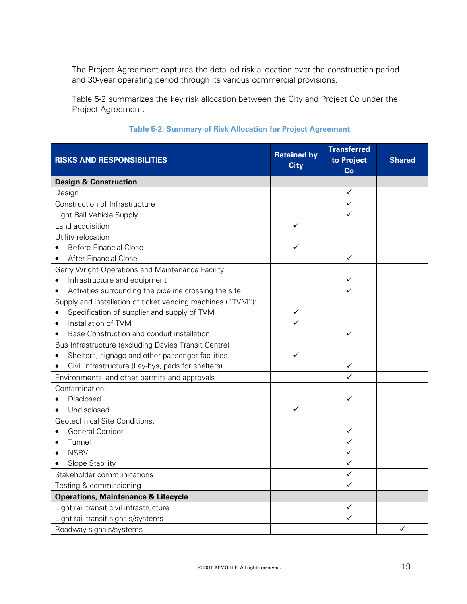The Project Agreement captures the detailed risk allocation over the construction period and 30-year operating period through its various commercial provisions.

Table 5-2 summarizes the key risk allocation between the City and Project Co under the Project Agreement.

| <b>RISKS AND RESPONSIBILITIES</b>                                  | <b>Retained by</b><br><b>City</b> | <b>Transferred</b><br>to Project<br>Co | <b>Shared</b> |
|--------------------------------------------------------------------|-----------------------------------|----------------------------------------|---------------|
| <b>Design &amp; Construction</b>                                   |                                   |                                        |               |
| Design                                                             |                                   | $\checkmark$                           |               |
| Construction of Infrastructure                                     |                                   | $\checkmark$                           |               |
| Light Rail Vehicle Supply                                          |                                   | ✓                                      |               |
| Land acquisition                                                   | ✓                                 |                                        |               |
| Utility relocation                                                 |                                   |                                        |               |
| <b>Before Financial Close</b>                                      | ✓                                 |                                        |               |
| <b>After Financial Close</b><br>$\bullet$                          |                                   | ✓                                      |               |
| Gerry Wright Operations and Maintenance Facility                   |                                   |                                        |               |
| Infrastructure and equipment<br>$\bullet$                          |                                   | ✓                                      |               |
| Activities surrounding the pipeline crossing the site<br>$\bullet$ |                                   |                                        |               |
| Supply and installation of ticket vending machines ("TVM"):        |                                   |                                        |               |
| Specification of supplier and supply of TVM<br>$\bullet$           |                                   |                                        |               |
| Installation of TVM<br>$\bullet$                                   |                                   |                                        |               |
| Base Construction and conduit installation                         |                                   | ✓                                      |               |
| Bus Infrastructure (excluding Davies Transit Centre)               |                                   |                                        |               |
| Shelters, signage and other passenger facilities                   | ✓                                 |                                        |               |
| Civil infrastructure (Lay-bys, pads for shelters)                  |                                   | ✓                                      |               |
| Environmental and other permits and approvals                      |                                   |                                        |               |
| Contamination:                                                     |                                   |                                        |               |
| Disclosed                                                          |                                   | ✓                                      |               |
| Undisclosed                                                        | $\checkmark$                      |                                        |               |
| <b>Geotechnical Site Conditions:</b>                               |                                   |                                        |               |
| General Corridor                                                   |                                   |                                        |               |
| Tunnel                                                             |                                   |                                        |               |
| <b>NSRV</b>                                                        |                                   |                                        |               |
| Slope Stability                                                    |                                   | ✓                                      |               |
| Stakeholder communications                                         |                                   | $\checkmark$                           |               |
| Testing & commissioning                                            |                                   | ✓                                      |               |
| <b>Operations, Maintenance &amp; Lifecycle</b>                     |                                   |                                        |               |
| Light rail transit civil infrastructure                            |                                   | $\checkmark$                           |               |
| Light rail transit signals/systems                                 |                                   | ✓                                      |               |
| Roadway signals/systems                                            |                                   |                                        | ✓             |

#### **Table 5-2: Summary of Risk Allocation for Project Agreement**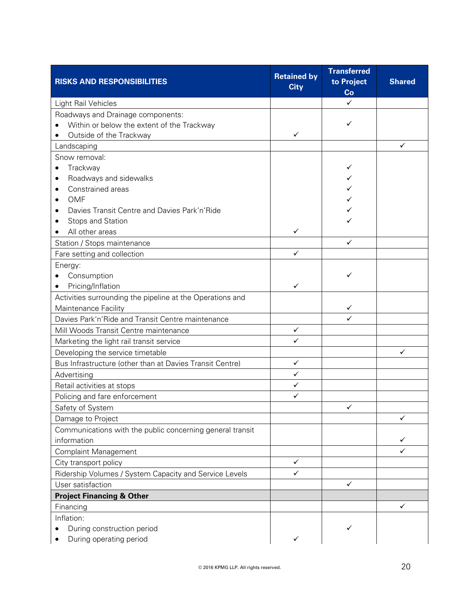| <b>RISKS AND RESPONSIBILITIES</b>                         | <b>Retained by</b><br><b>City</b> | <b>Transferred</b><br>to Project<br>Co | <b>Shared</b> |
|-----------------------------------------------------------|-----------------------------------|----------------------------------------|---------------|
| Light Rail Vehicles                                       |                                   | ✓                                      |               |
| Roadways and Drainage components:                         |                                   |                                        |               |
| Within or below the extent of the Trackway                |                                   | ✓                                      |               |
| Outside of the Trackway<br>$\bullet$                      | ✓                                 |                                        |               |
| Landscaping                                               |                                   |                                        | $\checkmark$  |
| Snow removal:                                             |                                   |                                        |               |
| Trackway<br>$\bullet$                                     |                                   | ✓                                      |               |
| Roadways and sidewalks<br>$\bullet$                       |                                   |                                        |               |
| Constrained areas                                         |                                   |                                        |               |
| <b>OMF</b><br>$\bullet$                                   |                                   |                                        |               |
| Davies Transit Centre and Davies Park'n'Ride<br>$\bullet$ |                                   |                                        |               |
| Stops and Station                                         |                                   |                                        |               |
| All other areas                                           | ✓                                 |                                        |               |
| Station / Stops maintenance                               |                                   | ✓                                      |               |
| Fare setting and collection                               | ✓                                 |                                        |               |
| Energy:                                                   |                                   |                                        |               |
| Consumption                                               |                                   | ✓                                      |               |
| Pricing/Inflation<br>$\bullet$                            | ✓                                 |                                        |               |
| Activities surrounding the pipeline at the Operations and |                                   |                                        |               |
| Maintenance Facility                                      |                                   | $\checkmark$                           |               |
| Davies Park'n'Ride and Transit Centre maintenance         |                                   | ✓                                      |               |
| Mill Woods Transit Centre maintenance                     | $\checkmark$                      |                                        |               |
| Marketing the light rail transit service                  | ✓                                 |                                        |               |
| Developing the service timetable                          |                                   |                                        | ✓             |
| Bus Infrastructure (other than at Davies Transit Centre)  | ✓                                 |                                        |               |
| Advertising                                               | $\checkmark$                      |                                        |               |
| Retail activities at stops                                | $\checkmark$                      |                                        |               |
| Policing and fare enforcement                             | $\checkmark$                      |                                        |               |
| Safety of System                                          |                                   | $\sqrt{2}$                             |               |
| Damage to Project                                         |                                   |                                        | ✓             |
| Communications with the public concerning general transit |                                   |                                        |               |
| information                                               |                                   |                                        | ✓             |
| <b>Complaint Management</b>                               |                                   |                                        | ✓             |
| City transport policy                                     | ✓                                 |                                        |               |
| Ridership Volumes / System Capacity and Service Levels    | ✓                                 |                                        |               |
| User satisfaction                                         |                                   | ✓                                      |               |
| <b>Project Financing &amp; Other</b>                      |                                   |                                        |               |
| Financing                                                 |                                   |                                        | ✓             |
| Inflation:                                                |                                   |                                        |               |
| During construction period                                |                                   |                                        |               |
| During operating period                                   | ✓                                 |                                        |               |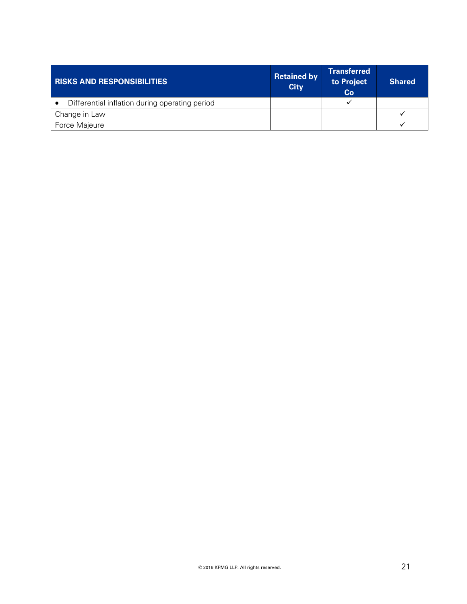| <b>RISKS AND RESPONSIBILITIES</b>              | <b>Retained by</b><br><b>City</b> | <b>Transferred</b><br>to Project<br>Co | <b>Shared</b> |
|------------------------------------------------|-----------------------------------|----------------------------------------|---------------|
| Differential inflation during operating period |                                   |                                        |               |
| Change in Law                                  |                                   |                                        |               |
| Force Majeure                                  |                                   |                                        |               |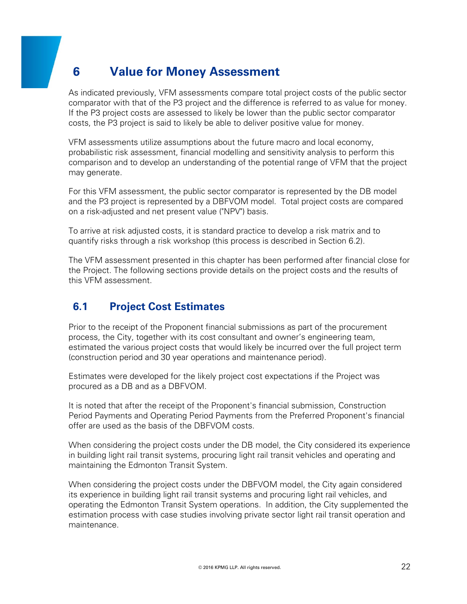# **6 Value for Money Assessment**

As indicated previously, VFM assessments compare total project costs of the public sector comparator with that of the P3 project and the difference is referred to as value for money. If the P3 project costs are assessed to likely be lower than the public sector comparator costs, the P3 project is said to likely be able to deliver positive value for money.

VFM assessments utilize assumptions about the future macro and local economy, probabilistic risk assessment, financial modelling and sensitivity analysis to perform this comparison and to develop an understanding of the potential range of VFM that the project may generate.

For this VFM assessment, the public sector comparator is represented by the DB model and the P3 project is represented by a DBFVOM model. Total project costs are compared on a risk-adjusted and net present value ("NPV") basis.

To arrive at risk adjusted costs, it is standard practice to develop a risk matrix and to quantify risks through a risk workshop (this process is described in Section 6.2).

The VFM assessment presented in this chapter has been performed after financial close for the Project. The following sections provide details on the project costs and the results of this VFM assessment.

# **6.1 Project Cost Estimates**

Prior to the receipt of the Proponent financial submissions as part of the procurement process, the City, together with its cost consultant and owner's engineering team, estimated the various project costs that would likely be incurred over the full project term (construction period and 30 year operations and maintenance period).

Estimates were developed for the likely project cost expectations if the Project was procured as a DB and as a DBFVOM.

It is noted that after the receipt of the Proponent's financial submission, Construction Period Payments and Operating Period Payments from the Preferred Proponent's financial offer are used as the basis of the DBFVOM costs.

When considering the project costs under the DB model, the City considered its experience in building light rail transit systems, procuring light rail transit vehicles and operating and maintaining the Edmonton Transit System.

When considering the project costs under the DBFVOM model, the City again considered its experience in building light rail transit systems and procuring light rail vehicles, and operating the Edmonton Transit System operations. In addition, the City supplemented the estimation process with case studies involving private sector light rail transit operation and maintenance.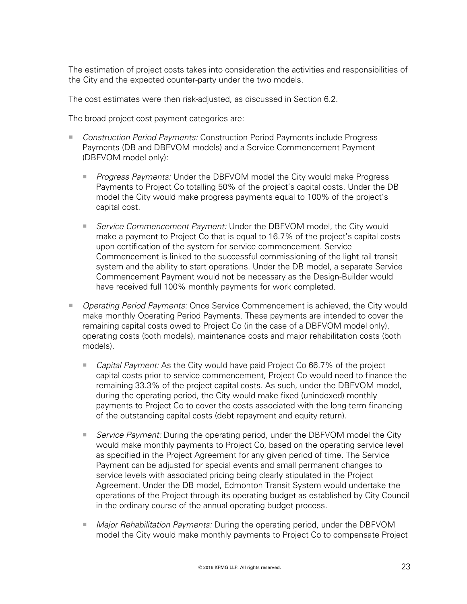The estimation of project costs takes into consideration the activities and responsibilities of the City and the expected counter-party under the two models.

The cost estimates were then risk-adjusted, as discussed in Section 6.2.

The broad project cost payment categories are:

- *Construction Period Payments:* Construction Period Payments include Progress Payments (DB and DBFVOM models) and a Service Commencement Payment (DBFVOM model only):
	- *Progress Payments:* Under the DBFVOM model the City would make Progress Payments to Project Co totalling 50% of the project's capital costs. Under the DB model the City would make progress payments equal to 100% of the project's capital cost.
	- *Service Commencement Payment:* Under the DBFVOM model, the City would make a payment to Project Co that is equal to 16.7% of the project's capital costs upon certification of the system for service commencement. Service Commencement is linked to the successful commissioning of the light rail transit system and the ability to start operations. Under the DB model, a separate Service Commencement Payment would not be necessary as the Design-Builder would have received full 100% monthly payments for work completed.
- *Operating Period Payments:* Once Service Commencement is achieved, the City would make monthly Operating Period Payments. These payments are intended to cover the remaining capital costs owed to Project Co (in the case of a DBFVOM model only), operating costs (both models), maintenance costs and major rehabilitation costs (both models).
	- *Capital Payment:* As the City would have paid Project Co 66.7% of the project capital costs prior to service commencement, Project Co would need to finance the remaining 33.3% of the project capital costs. As such, under the DBFVOM model, during the operating period, the City would make fixed (unindexed) monthly payments to Project Co to cover the costs associated with the long-term financing of the outstanding capital costs (debt repayment and equity return).
	- *Service Payment:* During the operating period, under the DBFVOM model the City would make monthly payments to Project Co, based on the operating service level as specified in the Project Agreement for any given period of time. The Service Payment can be adjusted for special events and small permanent changes to service levels with associated pricing being clearly stipulated in the Project Agreement. Under the DB model, Edmonton Transit System would undertake the operations of the Project through its operating budget as established by City Council in the ordinary course of the annual operating budget process.
	- *Major Rehabilitation Payments:* During the operating period, under the DBFVOM model the City would make monthly payments to Project Co to compensate Project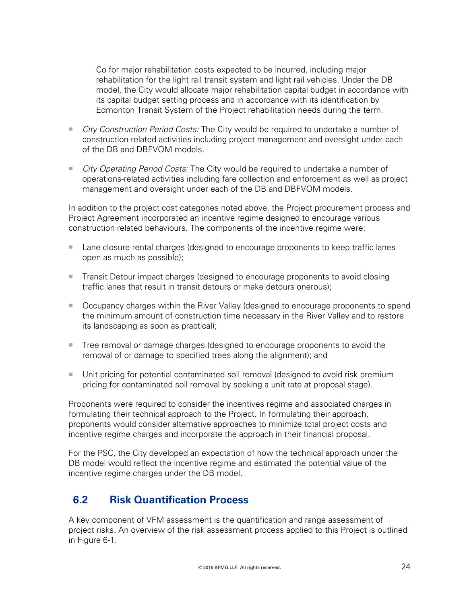Co for major rehabilitation costs expected to be incurred, including major rehabilitation for the light rail transit system and light rail vehicles. Under the DB model, the City would allocate major rehabilitation capital budget in accordance with its capital budget setting process and in accordance with its identification by Edmonton Transit System of the Project rehabilitation needs during the term.

- *City Construction Period Costs:* The City would be required to undertake a number of construction-related activities including project management and oversight under each of the DB and DBFVOM models.
- *City Operating Period Costs:* The City would be required to undertake a number of operations-related activities including fare collection and enforcement as well as project management and oversight under each of the DB and DBFVOM models.

In addition to the project cost categories noted above, the Project procurement process and Project Agreement incorporated an incentive regime designed to encourage various construction related behaviours. The components of the incentive regime were:

- **Lane closure rental charges (designed to encourage proponents to keep traffic lanes** open as much as possible);
- **Transit Detour impact charges (designed to encourage proponents to avoid closing** traffic lanes that result in transit detours or make detours onerous);
- Occupancy charges within the River Valley (designed to encourage proponents to spend the minimum amount of construction time necessary in the River Valley and to restore its landscaping as soon as practical);
- **Tree removal or damage charges (designed to encourage proponents to avoid the** removal of or damage to specified trees along the alignment); and
- Unit pricing for potential contaminated soil removal (designed to avoid risk premium pricing for contaminated soil removal by seeking a unit rate at proposal stage).

Proponents were required to consider the incentives regime and associated charges in formulating their technical approach to the Project. In formulating their approach, proponents would consider alternative approaches to minimize total project costs and incentive regime charges and incorporate the approach in their financial proposal.

For the PSC, the City developed an expectation of how the technical approach under the DB model would reflect the incentive regime and estimated the potential value of the incentive regime charges under the DB model.

# **6.2 Risk Quantification Process**

A key component of VFM assessment is the quantification and range assessment of project risks. An overview of the risk assessment process applied to this Project is outlined in Figure 6-1.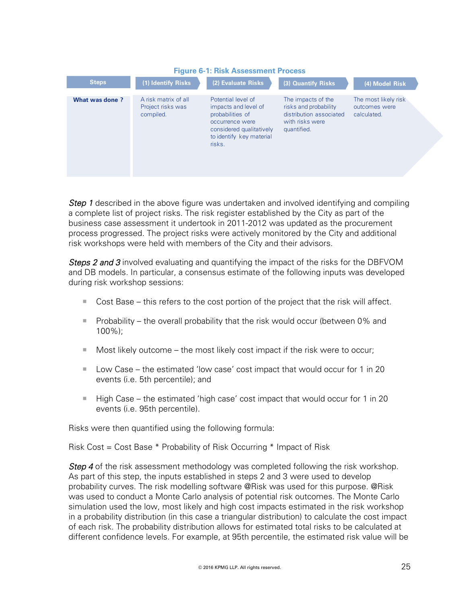

*Step 1* described in the above figure was undertaken and involved identifying and compiling a complete list of project risks. The risk register established by the City as part of the business case assessment it undertook in 2011-2012 was updated as the procurement process progressed. The project risks were actively monitored by the City and additional risk workshops were held with members of the City and their advisors.

*Steps 2 and 3* involved evaluating and quantifying the impact of the risks for the DBFVOM and DB models. In particular, a consensus estimate of the following inputs was developed during risk workshop sessions:

- $\blacksquare$  Cost Base this refers to the cost portion of the project that the risk will affect.
- Probability the overall probability that the risk would occur (between  $0\%$  and 100%);
- $\blacksquare$  Most likely outcome the most likely cost impact if the risk were to occur;
- Low Case the estimated 'low case' cost impact that would occur for 1 in 20 events (i.e. 5th percentile); and
- $\blacksquare$  High Case the estimated 'high case' cost impact that would occur for 1 in 20 events (i.e. 95th percentile).

Risks were then quantified using the following formula:

Risk Cost = Cost Base \* Probability of Risk Occurring \* Impact of Risk

*Step 4* of the risk assessment methodology was completed following the risk workshop. As part of this step, the inputs established in steps 2 and 3 were used to develop probability curves. The risk modelling software @Risk was used for this purpose. @Risk was used to conduct a Monte Carlo analysis of potential risk outcomes. The Monte Carlo simulation used the low, most likely and high cost impacts estimated in the risk workshop in a probability distribution (in this case a triangular distribution) to calculate the cost impact of each risk. The probability distribution allows for estimated total risks to be calculated at different confidence levels. For example, at 95th percentile, the estimated risk value will be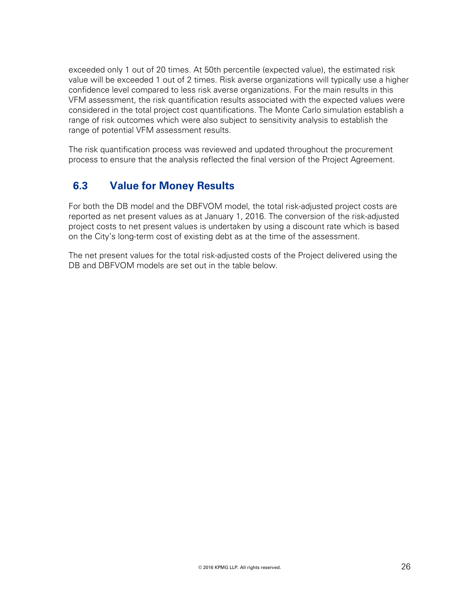exceeded only 1 out of 20 times. At 50th percentile (expected value), the estimated risk value will be exceeded 1 out of 2 times. Risk averse organizations will typically use a higher confidence level compared to less risk averse organizations. For the main results in this VFM assessment, the risk quantification results associated with the expected values were considered in the total project cost quantifications. The Monte Carlo simulation establish a range of risk outcomes which were also subject to sensitivity analysis to establish the range of potential VFM assessment results.

The risk quantification process was reviewed and updated throughout the procurement process to ensure that the analysis reflected the final version of the Project Agreement.

# **6.3 Value for Money Results**

For both the DB model and the DBFVOM model, the total risk-adjusted project costs are reported as net present values as at January 1, 2016. The conversion of the risk-adjusted project costs to net present values is undertaken by using a discount rate which is based on the City's long-term cost of existing debt as at the time of the assessment.

The net present values for the total risk-adjusted costs of the Project delivered using the DB and DBFVOM models are set out in the table below.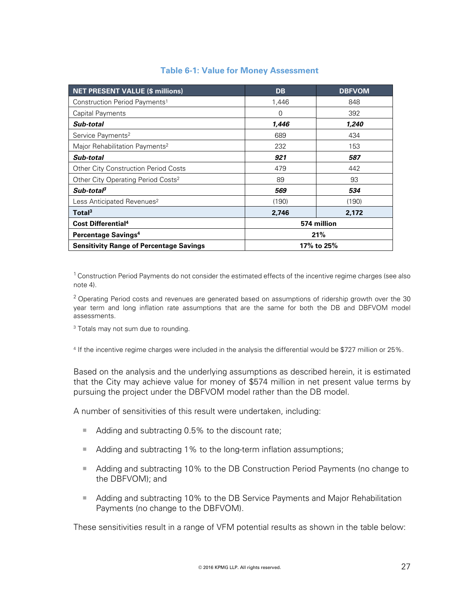| <b>NET PRESENT VALUE (\$ millions)</b>         | <b>DB</b>   | <b>DBFVOM</b> |  |
|------------------------------------------------|-------------|---------------|--|
| Construction Period Payments <sup>1</sup>      | 1,446       | 848           |  |
| Capital Payments                               | $\Omega$    | 392           |  |
| Sub-total                                      | 1,446       | 1,240         |  |
| Service Payments <sup>2</sup>                  | 689         | 434           |  |
| Major Rehabilitation Payments <sup>2</sup>     | 232         | 153           |  |
| Sub-total                                      | 921         | 587           |  |
| <b>Other City Construction Period Costs</b>    | 479         | 442           |  |
| Other City Operating Period Costs <sup>2</sup> | 89          | 93            |  |
| Sub-total <sup>3</sup>                         | 569         | 534           |  |
| Less Anticipated Revenues <sup>2</sup>         | (190)       | (190)         |  |
| Total <sup>3</sup>                             | 2,746       | 2,172         |  |
| Cost Differential <sup>4</sup>                 | 574 million |               |  |
| Percentage Savings <sup>4</sup>                |             | 21%           |  |
| <b>Sensitivity Range of Percentage Savings</b> | 17% to 25%  |               |  |

#### **Table 6-1: Value for Money Assessment**

<sup>1</sup> Construction Period Payments do not consider the estimated effects of the incentive regime charges (see also note 4).

 $2$  Operating Period costs and revenues are generated based on assumptions of ridership growth over the 30 year term and long inflation rate assumptions that are the same for both the DB and DBFVOM model assessments.

<sup>3</sup> Totals may not sum due to rounding.

4 If the incentive regime charges were included in the analysis the differential would be \$727 million or 25%.

Based on the analysis and the underlying assumptions as described herein, it is estimated that the City may achieve value for money of \$574 million in net present value terms by pursuing the project under the DBFVOM model rather than the DB model.

A number of sensitivities of this result were undertaken, including:

- Adding and subtracting 0.5% to the discount rate;
- Adding and subtracting 1% to the long-term inflation assumptions;
- Adding and subtracting 10% to the DB Construction Period Payments (no change to the DBFVOM); and
- Adding and subtracting 10% to the DB Service Payments and Major Rehabilitation Payments (no change to the DBFVOM).

These sensitivities result in a range of VFM potential results as shown in the table below: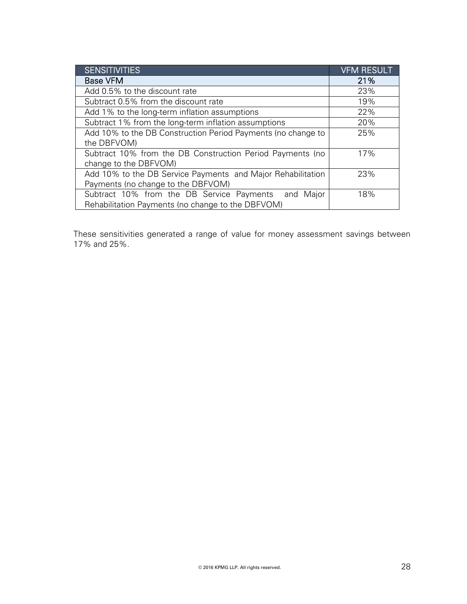| <b>SENSITIVITIES</b>                                         | <b>VFM RESULT</b> |
|--------------------------------------------------------------|-------------------|
| <b>Base VFM</b>                                              | 21%               |
| Add 0.5% to the discount rate                                | 23%               |
| Subtract 0.5% from the discount rate                         | 19%               |
| Add 1% to the long-term inflation assumptions                | 22%               |
| Subtract 1% from the long-term inflation assumptions         | 20%               |
| Add 10% to the DB Construction Period Payments (no change to | 25%               |
| the DBFVOM)                                                  |                   |
| Subtract 10% from the DB Construction Period Payments (no    | 17%               |
| change to the DBFVOM)                                        |                   |
| Add 10% to the DB Service Payments and Major Rehabilitation  | 23%               |
| Payments (no change to the DBFVOM)                           |                   |
| Subtract 10% from the DB Service Payments<br>and Major       | 18%               |
| Rehabilitation Payments (no change to the DBFVOM)            |                   |

These sensitivities generated a range of value for money assessment savings between 17% and 25%.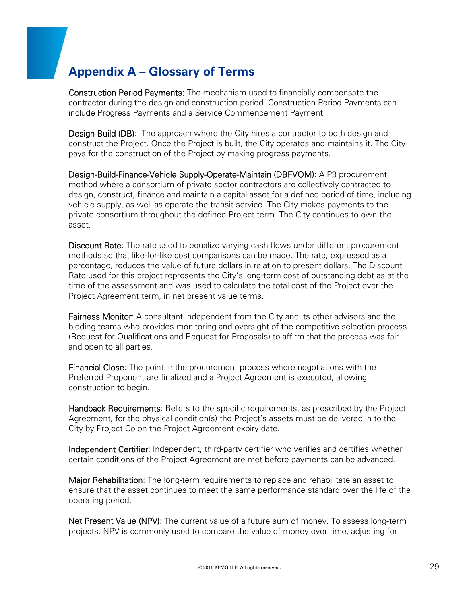# **Appendix A – Glossary of Terms**

Construction Period Payments: The mechanism used to financially compensate the contractor during the design and construction period. Construction Period Payments can include Progress Payments and a Service Commencement Payment.

**Design-Build (DB)**: The approach where the City hires a contractor to both design and construct the Project. Once the Project is built, the City operates and maintains it. The City pays for the construction of the Project by making progress payments.

Design-Build-Finance-Vehicle Supply-Operate-Maintain (DBFVOM): A P3 procurement method where a consortium of private sector contractors are collectively contracted to design, construct, finance and maintain a capital asset for a defined period of time, including vehicle supply, as well as operate the transit service. The City makes payments to the private consortium throughout the defined Project term. The City continues to own the asset.

Discount Rate: The rate used to equalize varying cash flows under different procurement methods so that like-for-like cost comparisons can be made. The rate, expressed as a percentage, reduces the value of future dollars in relation to present dollars. The Discount Rate used for this project represents the City's long-term cost of outstanding debt as at the time of the assessment and was used to calculate the total cost of the Project over the Project Agreement term, in net present value terms.

Fairness Monitor: A consultant independent from the City and its other advisors and the bidding teams who provides monitoring and oversight of the competitive selection process (Request for Qualifications and Request for Proposals) to affirm that the process was fair and open to all parties.

**Financial Close**: The point in the procurement process where negotiations with the Preferred Proponent are finalized and a Project Agreement is executed, allowing construction to begin.

Handback Requirements: Refers to the specific requirements, as prescribed by the Project Agreement, for the physical condition(s) the Project's assets must be delivered in to the City by Project Co on the Project Agreement expiry date.

Independent Certifier: Independent, third-party certifier who verifies and certifies whether certain conditions of the Project Agreement are met before payments can be advanced.

Major Rehabilitation: The long-term requirements to replace and rehabilitate an asset to ensure that the asset continues to meet the same performance standard over the life of the operating period.

Net Present Value (NPV): The current value of a future sum of money. To assess long-term projects, NPV is commonly used to compare the value of money over time, adjusting for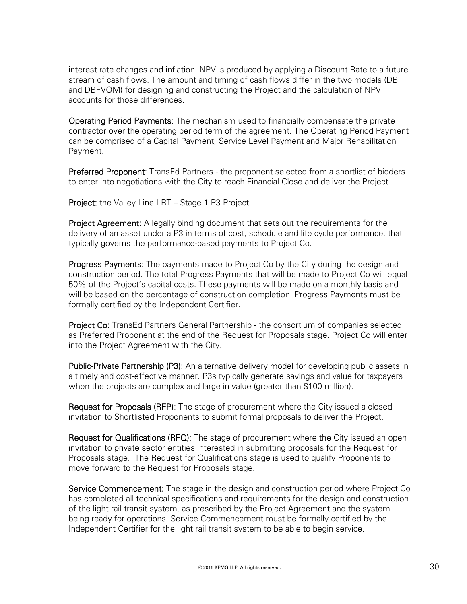interest rate changes and inflation. NPV is produced by applying a Discount Rate to a future stream of cash flows. The amount and timing of cash flows differ in the two models (DB and DBFVOM) for designing and constructing the Project and the calculation of NPV accounts for those differences.

**Operating Period Payments:** The mechanism used to financially compensate the private contractor over the operating period term of the agreement. The Operating Period Payment can be comprised of a Capital Payment, Service Level Payment and Major Rehabilitation Payment.

Preferred Proponent: TransEd Partners - the proponent selected from a shortlist of bidders to enter into negotiations with the City to reach Financial Close and deliver the Project.

Project: the Valley Line LRT – Stage 1 P3 Project.

**Project Agreement:** A legally binding document that sets out the requirements for the delivery of an asset under a P3 in terms of cost, schedule and life cycle performance, that typically governs the performance-based payments to Project Co.

Progress Payments: The payments made to Project Co by the City during the design and construction period. The total Progress Payments that will be made to Project Co will equal 50% of the Project's capital costs. These payments will be made on a monthly basis and will be based on the percentage of construction completion. Progress Payments must be formally certified by the Independent Certifier.

Project Co: TransEd Partners General Partnership - the consortium of companies selected as Preferred Proponent at the end of the Request for Proposals stage. Project Co will enter into the Project Agreement with the City.

Public-Private Partnership (P3): An alternative delivery model for developing public assets in a timely and cost-effective manner. P3s typically generate savings and value for taxpayers when the projects are complex and large in value (greater than \$100 million).

Request for Proposals (RFP): The stage of procurement where the City issued a closed invitation to Shortlisted Proponents to submit formal proposals to deliver the Project.

Request for Qualifications (RFQ): The stage of procurement where the City issued an open invitation to private sector entities interested in submitting proposals for the Request for Proposals stage. The Request for Qualifications stage is used to qualify Proponents to move forward to the Request for Proposals stage.

Service Commencement: The stage in the design and construction period where Project Co has completed all technical specifications and requirements for the design and construction of the light rail transit system, as prescribed by the Project Agreement and the system being ready for operations. Service Commencement must be formally certified by the Independent Certifier for the light rail transit system to be able to begin service.